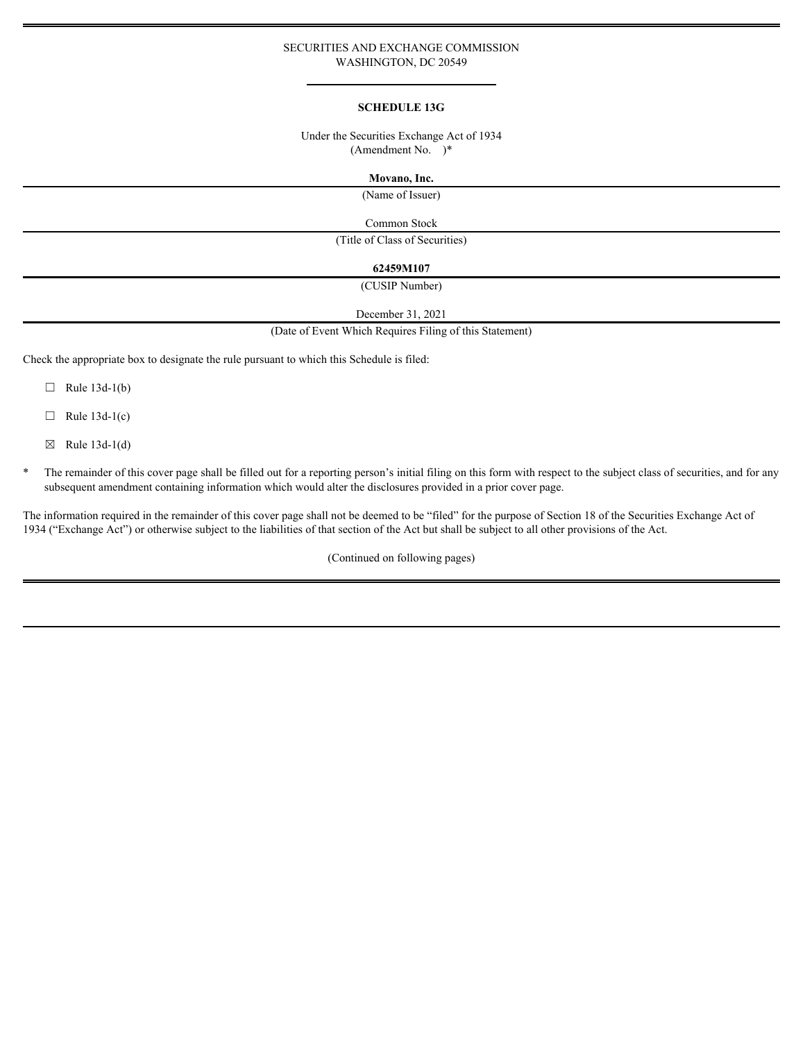### SECURITIES AND EXCHANGE COMMISSION WASHINGTON, DC 20549

#### **SCHEDULE 13G**

### Under the Securities Exchange Act of 1934 (Amendment No. )\*

#### **Movano, Inc.**

(Name of Issuer)

Common Stock

(Title of Class of Securities)

#### **62459M107**

(CUSIP Number)

December 31, 2021

(Date of Event Which Requires Filing of this Statement)

Check the appropriate box to designate the rule pursuant to which this Schedule is filed:

- $\Box$  Rule 13d-1(b)
- $\Box$  Rule 13d-1(c)
- $\boxtimes$  Rule 13d-1(d)
- \* The remainder of this cover page shall be filled out for a reporting person's initial filing on this form with respect to the subject class of securities, and for any subsequent amendment containing information which would alter the disclosures provided in a prior cover page.

The information required in the remainder of this cover page shall not be deemed to be "filed" for the purpose of Section 18 of the Securities Exchange Act of 1934 ("Exchange Act") or otherwise subject to the liabilities of that section of the Act but shall be subject to all other provisions of the Act.

(Continued on following pages)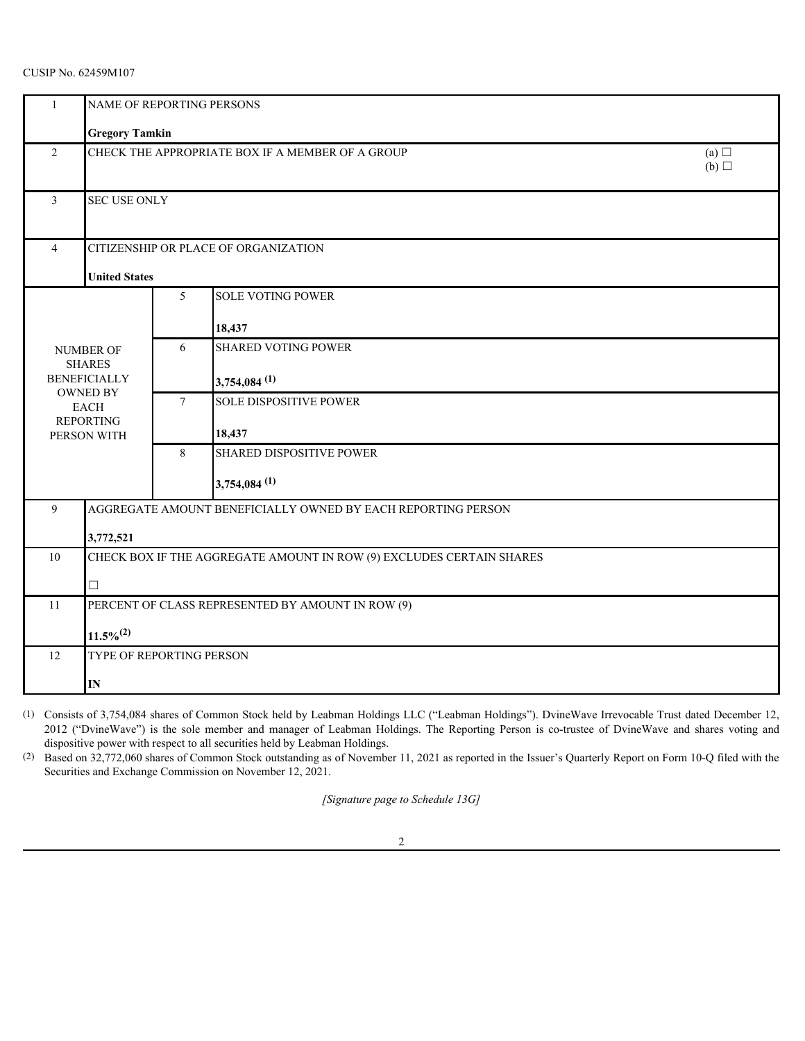# CUSIP No. 62459M107

|  |                                                         | NAME OF REPORTING PERSONS                                             |                 |                                                                                                                                                                                                                                                                                                                                                                                                                                                                                                                                                                                                             |  |  |
|--|---------------------------------------------------------|-----------------------------------------------------------------------|-----------------|-------------------------------------------------------------------------------------------------------------------------------------------------------------------------------------------------------------------------------------------------------------------------------------------------------------------------------------------------------------------------------------------------------------------------------------------------------------------------------------------------------------------------------------------------------------------------------------------------------------|--|--|
|  |                                                         | <b>Gregory Tamkin</b>                                                 |                 |                                                                                                                                                                                                                                                                                                                                                                                                                                                                                                                                                                                                             |  |  |
|  | $\overline{2}$                                          | CHECK THE APPROPRIATE BOX IF A MEMBER OF A GROUP<br>(a) $\Box$<br>(b) |                 |                                                                                                                                                                                                                                                                                                                                                                                                                                                                                                                                                                                                             |  |  |
|  | 3                                                       | <b>SEC USE ONLY</b>                                                   |                 |                                                                                                                                                                                                                                                                                                                                                                                                                                                                                                                                                                                                             |  |  |
|  | 4                                                       |                                                                       |                 | CITIZENSHIP OR PLACE OF ORGANIZATION                                                                                                                                                                                                                                                                                                                                                                                                                                                                                                                                                                        |  |  |
|  |                                                         | <b>United States</b>                                                  |                 |                                                                                                                                                                                                                                                                                                                                                                                                                                                                                                                                                                                                             |  |  |
|  |                                                         |                                                                       | 5               | <b>SOLE VOTING POWER</b>                                                                                                                                                                                                                                                                                                                                                                                                                                                                                                                                                                                    |  |  |
|  |                                                         |                                                                       |                 | 18,437                                                                                                                                                                                                                                                                                                                                                                                                                                                                                                                                                                                                      |  |  |
|  |                                                         | NUMBER OF                                                             | 6               | <b>SHARED VOTING POWER</b>                                                                                                                                                                                                                                                                                                                                                                                                                                                                                                                                                                                  |  |  |
|  |                                                         | <b>SHARES</b><br><b>BENEFICIALLY</b>                                  |                 | $3,754,084$ <sup>(1)</sup>                                                                                                                                                                                                                                                                                                                                                                                                                                                                                                                                                                                  |  |  |
|  | OWNED BY                                                |                                                                       | $7\phantom{.0}$ | <b>SOLE DISPOSITIVE POWER</b>                                                                                                                                                                                                                                                                                                                                                                                                                                                                                                                                                                               |  |  |
|  |                                                         | EACH<br><b>REPORTING</b>                                              |                 |                                                                                                                                                                                                                                                                                                                                                                                                                                                                                                                                                                                                             |  |  |
|  |                                                         | PERSON WITH                                                           | 8               | 18,437<br><b>SHARED DISPOSITIVE POWER</b>                                                                                                                                                                                                                                                                                                                                                                                                                                                                                                                                                                   |  |  |
|  |                                                         |                                                                       |                 |                                                                                                                                                                                                                                                                                                                                                                                                                                                                                                                                                                                                             |  |  |
|  |                                                         |                                                                       |                 | $3,754,084$ <sup>(1)</sup>                                                                                                                                                                                                                                                                                                                                                                                                                                                                                                                                                                                  |  |  |
|  | 9                                                       |                                                                       |                 | AGGREGATE AMOUNT BENEFICIALLY OWNED BY EACH REPORTING PERSON                                                                                                                                                                                                                                                                                                                                                                                                                                                                                                                                                |  |  |
|  |                                                         | 3,772,521                                                             |                 |                                                                                                                                                                                                                                                                                                                                                                                                                                                                                                                                                                                                             |  |  |
|  | 10                                                      |                                                                       |                 | CHECK BOX IF THE AGGREGATE AMOUNT IN ROW (9) EXCLUDES CERTAIN SHARES                                                                                                                                                                                                                                                                                                                                                                                                                                                                                                                                        |  |  |
|  |                                                         |                                                                       |                 |                                                                                                                                                                                                                                                                                                                                                                                                                                                                                                                                                                                                             |  |  |
|  | PERCENT OF CLASS REPRESENTED BY AMOUNT IN ROW (9)<br>11 |                                                                       |                 |                                                                                                                                                                                                                                                                                                                                                                                                                                                                                                                                                                                                             |  |  |
|  |                                                         | $11.5\%^{(2)}$                                                        |                 |                                                                                                                                                                                                                                                                                                                                                                                                                                                                                                                                                                                                             |  |  |
|  | 12                                                      | TYPE OF REPORTING PERSON                                              |                 |                                                                                                                                                                                                                                                                                                                                                                                                                                                                                                                                                                                                             |  |  |
|  |                                                         | IN                                                                    |                 |                                                                                                                                                                                                                                                                                                                                                                                                                                                                                                                                                                                                             |  |  |
|  |                                                         |                                                                       |                 | (1) Consists of 3,754,084 shares of Common Stock held by Leabman Holdings LLC ("Leabman Holdings"). DvineWave Irrevocable Trust dated December 12,<br>2012 ("DvineWave") is the sole member and manager of Leabman Holdings. The Reporting Person is co-trustee of DvineWave and shares voting and<br>dispositive power with respect to all securities held by Leabman Holdings.<br>(2) Based on 32,772,060 shares of Common Stock outstanding as of November 11, 2021 as reported in the Issuer's Quarterly Report on Form 10-Q filed with the<br>Securities and Exchange Commission on November 12, 2021. |  |  |
|  |                                                         |                                                                       |                 | [Signature page to Schedule 13G]                                                                                                                                                                                                                                                                                                                                                                                                                                                                                                                                                                            |  |  |
|  |                                                         |                                                                       |                 |                                                                                                                                                                                                                                                                                                                                                                                                                                                                                                                                                                                                             |  |  |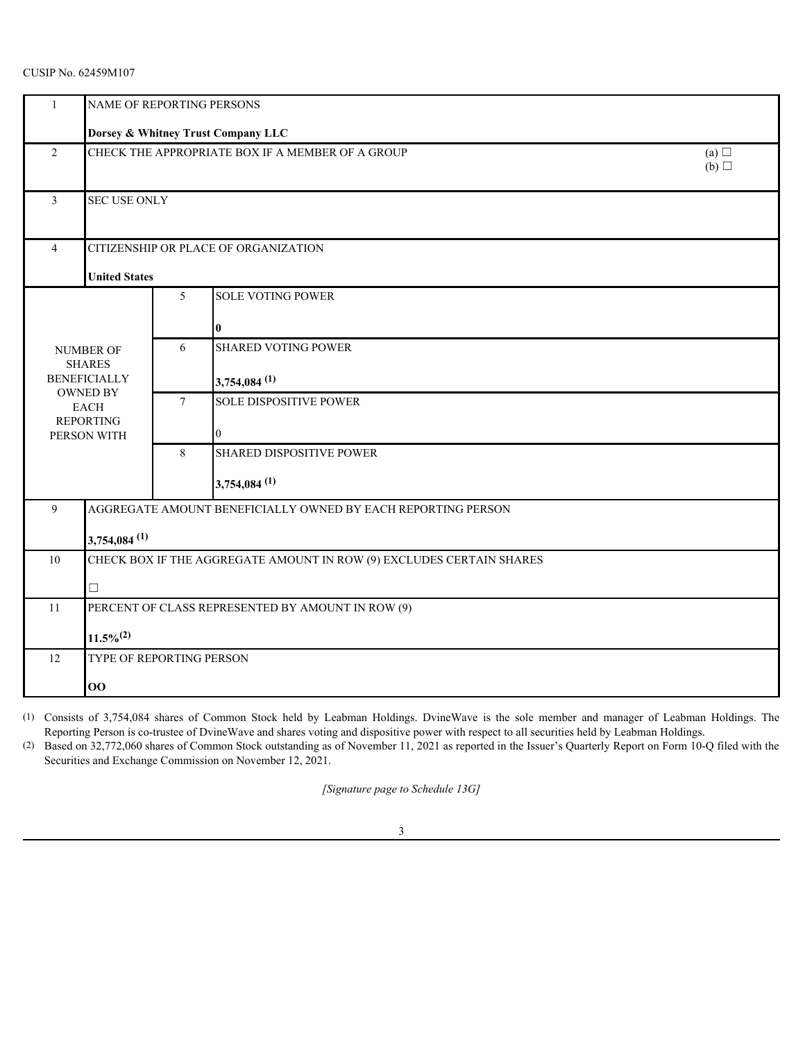# CUSIP No. 62459M107

|                                                                   | NAME OF REPORTING PERSONS            |                 |                                                                                                                                                                                                                                                                                                                                                                                                                                                                                                                         |  |
|-------------------------------------------------------------------|--------------------------------------|-----------------|-------------------------------------------------------------------------------------------------------------------------------------------------------------------------------------------------------------------------------------------------------------------------------------------------------------------------------------------------------------------------------------------------------------------------------------------------------------------------------------------------------------------------|--|
|                                                                   |                                      |                 | Dorsey & Whitney Trust Company LLC                                                                                                                                                                                                                                                                                                                                                                                                                                                                                      |  |
| $\overline{2}$                                                    |                                      |                 | CHECK THE APPROPRIATE BOX IF A MEMBER OF A GROUP<br>(a) $\Box$<br>(b)                                                                                                                                                                                                                                                                                                                                                                                                                                                   |  |
| 3                                                                 | <b>SEC USE ONLY</b>                  |                 |                                                                                                                                                                                                                                                                                                                                                                                                                                                                                                                         |  |
| CITIZENSHIP OR PLACE OF ORGANIZATION<br>4<br><b>United States</b> |                                      |                 |                                                                                                                                                                                                                                                                                                                                                                                                                                                                                                                         |  |
|                                                                   |                                      | 5 <sup>5</sup>  | <b>SOLE VOTING POWER</b>                                                                                                                                                                                                                                                                                                                                                                                                                                                                                                |  |
|                                                                   |                                      |                 |                                                                                                                                                                                                                                                                                                                                                                                                                                                                                                                         |  |
|                                                                   | NUMBER OF                            | 6               | <b>SHARED VOTING POWER</b>                                                                                                                                                                                                                                                                                                                                                                                                                                                                                              |  |
|                                                                   | <b>SHARES</b><br><b>BENEFICIALLY</b> |                 | $3,754,084$ <sup>(1)</sup>                                                                                                                                                                                                                                                                                                                                                                                                                                                                                              |  |
|                                                                   | OWNED BY<br>EACH                     | $7\phantom{.0}$ | <b>SOLE DISPOSITIVE POWER</b>                                                                                                                                                                                                                                                                                                                                                                                                                                                                                           |  |
|                                                                   | <b>REPORTING</b><br>PERSON WITH      |                 |                                                                                                                                                                                                                                                                                                                                                                                                                                                                                                                         |  |
|                                                                   |                                      | 8               | <b>SHARED DISPOSITIVE POWER</b>                                                                                                                                                                                                                                                                                                                                                                                                                                                                                         |  |
|                                                                   |                                      |                 | $3,754,084$ <sup>(1)</sup>                                                                                                                                                                                                                                                                                                                                                                                                                                                                                              |  |
| 9                                                                 |                                      |                 | AGGREGATE AMOUNT BENEFICIALLY OWNED BY EACH REPORTING PERSON                                                                                                                                                                                                                                                                                                                                                                                                                                                            |  |
|                                                                   | $3,754,084$ <sup>(1)</sup>           |                 |                                                                                                                                                                                                                                                                                                                                                                                                                                                                                                                         |  |
| 10                                                                |                                      |                 | CHECK BOX IF THE AGGREGATE AMOUNT IN ROW (9) EXCLUDES CERTAIN SHARES                                                                                                                                                                                                                                                                                                                                                                                                                                                    |  |
|                                                                   |                                      |                 |                                                                                                                                                                                                                                                                                                                                                                                                                                                                                                                         |  |
| 11                                                                |                                      |                 | PERCENT OF CLASS REPRESENTED BY AMOUNT IN ROW (9)                                                                                                                                                                                                                                                                                                                                                                                                                                                                       |  |
|                                                                   | $11.5\%^{(2)}$                       |                 |                                                                                                                                                                                                                                                                                                                                                                                                                                                                                                                         |  |
| 12                                                                | TYPE OF REPORTING PERSON             |                 |                                                                                                                                                                                                                                                                                                                                                                                                                                                                                                                         |  |
|                                                                   | 00                                   |                 |                                                                                                                                                                                                                                                                                                                                                                                                                                                                                                                         |  |
|                                                                   |                                      |                 | (1) Consists of 3,754,084 shares of Common Stock held by Leabman Holdings. DvineWave is the sole member and manager of Leabman Holdings. The<br>Reporting Person is co-trustee of DvineWave and shares voting and dispositive power with respect to all securities held by Leabman Holdings.<br>(2) Based on 32,772,060 shares of Common Stock outstanding as of November 11, 2021 as reported in the Issuer's Quarterly Report on Form 10-Q filed with the<br>Securities and Exchange Commission on November 12, 2021. |  |
|                                                                   |                                      |                 | [Signature page to Schedule 13G]                                                                                                                                                                                                                                                                                                                                                                                                                                                                                        |  |

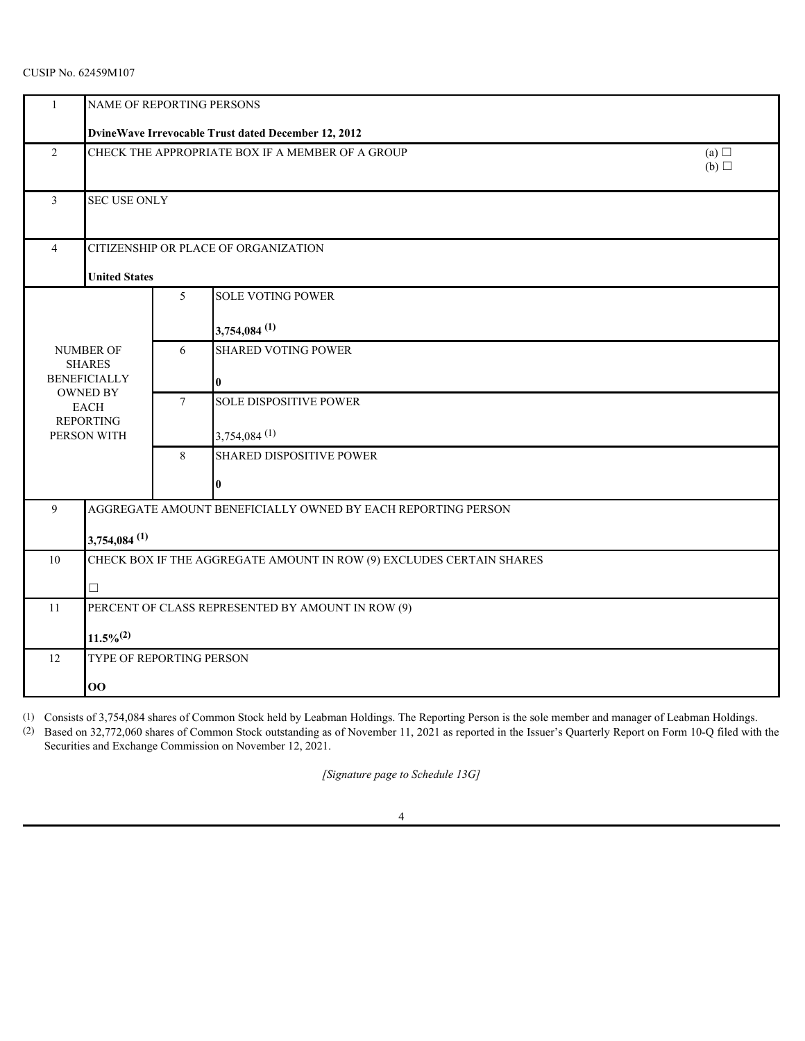# CUSIP No. 62459M107

|                | NAME OF REPORTING PERSONS                                    |                   |                                                                      |  |  |  |
|----------------|--------------------------------------------------------------|-------------------|----------------------------------------------------------------------|--|--|--|
|                | DvineWave Irrevocable Trust dated December 12, 2012          |                   |                                                                      |  |  |  |
| $\overline{2}$ | CHECK THE APPROPRIATE BOX IF A MEMBER OF A GROUP             | (a) $\Box$<br>(b) |                                                                      |  |  |  |
| 3              | SEC USE ONLY                                                 |                   |                                                                      |  |  |  |
| $\overline{4}$ | CITIZENSHIP OR PLACE OF ORGANIZATION                         |                   |                                                                      |  |  |  |
|                | <b>United States</b>                                         |                   |                                                                      |  |  |  |
|                |                                                              | $\mathfrak{S}$    | <b>SOLE VOTING POWER</b>                                             |  |  |  |
|                |                                                              |                   | $3,754,084$ <sup>(1)</sup>                                           |  |  |  |
|                | NUMBER OF<br><b>SHARES</b>                                   | 6                 | <b>SHARED VOTING POWER</b>                                           |  |  |  |
|                | <b>BENEFICIALLY</b>                                          |                   |                                                                      |  |  |  |
|                | OWNED BY<br>EACH                                             | $7\phantom{.0}$   | <b>SOLE DISPOSITIVE POWER</b>                                        |  |  |  |
|                | <b>REPORTING</b><br>PERSON WITH                              |                   | $3,754,084$ <sup>(1)</sup>                                           |  |  |  |
|                |                                                              | 8                 | <b>SHARED DISPOSITIVE POWER</b>                                      |  |  |  |
|                |                                                              |                   |                                                                      |  |  |  |
| 9              | AGGREGATE AMOUNT BENEFICIALLY OWNED BY EACH REPORTING PERSON |                   |                                                                      |  |  |  |
|                | $3,754,084$ <sup>(1)</sup>                                   |                   |                                                                      |  |  |  |
| 10             |                                                              |                   | CHECK BOX IF THE AGGREGATE AMOUNT IN ROW (9) EXCLUDES CERTAIN SHARES |  |  |  |
|                | $\Box$                                                       |                   |                                                                      |  |  |  |
| 11             |                                                              |                   | PERCENT OF CLASS REPRESENTED BY AMOUNT IN ROW (9)                    |  |  |  |
|                | $11.5\%^{(2)}$                                               |                   |                                                                      |  |  |  |
| 12             | TYPE OF REPORTING PERSON                                     |                   |                                                                      |  |  |  |
| 00             |                                                              |                   |                                                                      |  |  |  |

(1) Consists of 3,754,084 shares of Common Stock held by Leabman Holdings. The Reporting Person is the sole member and manager of Leabman Holdings.

(2) Based on 32,772,060 shares of Common Stock outstanding as of November 11, 2021 as reported in the Issuer's Quarterly Report on Form 10-Q filed with the Securities and Exchange Commission on November 12, 2021.

*[Signature page to Schedule 13G]*

4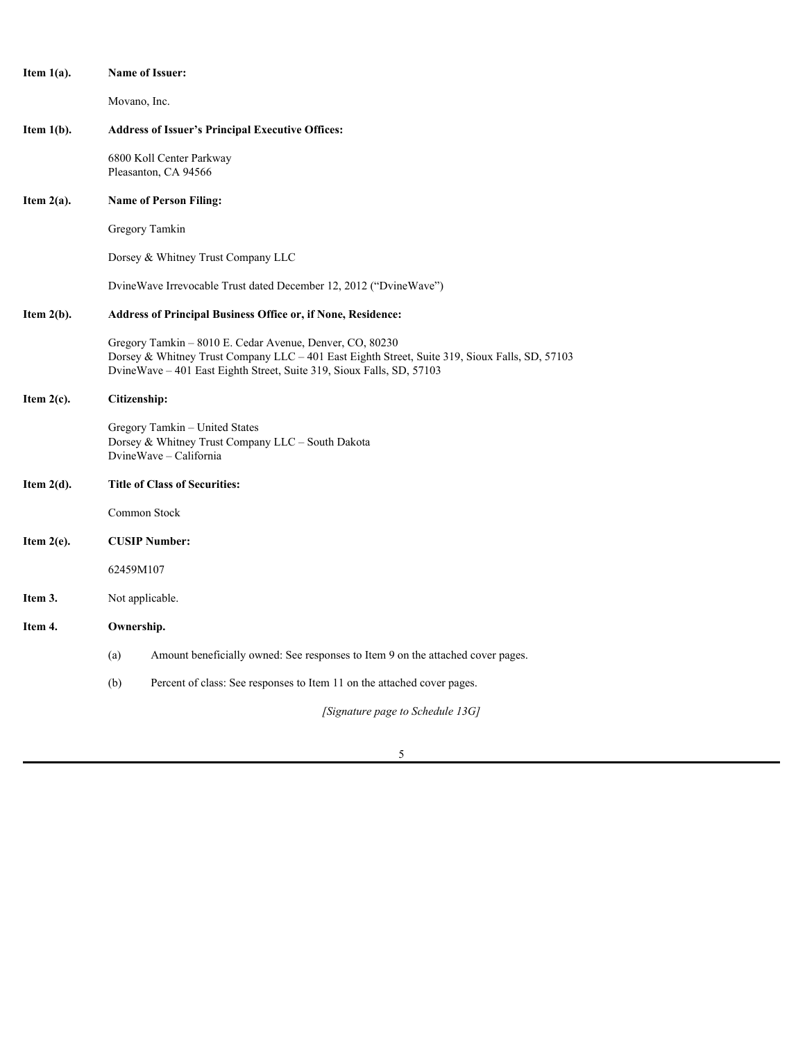| Item $1(a)$ . | <b>Name of Issuer:</b>                                                                                                                                                                                                              |  |  |  |  |
|---------------|-------------------------------------------------------------------------------------------------------------------------------------------------------------------------------------------------------------------------------------|--|--|--|--|
|               | Movano, Inc.                                                                                                                                                                                                                        |  |  |  |  |
| Item $1(b)$ . | <b>Address of Issuer's Principal Executive Offices:</b>                                                                                                                                                                             |  |  |  |  |
|               | 6800 Koll Center Parkway<br>Pleasanton, CA 94566                                                                                                                                                                                    |  |  |  |  |
| Item $2(a)$ . | <b>Name of Person Filing:</b>                                                                                                                                                                                                       |  |  |  |  |
|               | Gregory Tamkin                                                                                                                                                                                                                      |  |  |  |  |
|               | Dorsey & Whitney Trust Company LLC                                                                                                                                                                                                  |  |  |  |  |
|               | DvineWave Irrevocable Trust dated December 12, 2012 ("DvineWave")                                                                                                                                                                   |  |  |  |  |
| Item $2(b)$ . | Address of Principal Business Office or, if None, Residence:                                                                                                                                                                        |  |  |  |  |
|               | Gregory Tamkin - 8010 E. Cedar Avenue, Denver, CO, 80230<br>Dorsey & Whitney Trust Company LLC - 401 East Eighth Street, Suite 319, Sioux Falls, SD, 57103<br>DvineWave - 401 East Eighth Street, Suite 319, Sioux Falls, SD, 57103 |  |  |  |  |
| Item $2(c)$ . | Citizenship:                                                                                                                                                                                                                        |  |  |  |  |
|               | Gregory Tamkin - United States<br>Dorsey & Whitney Trust Company LLC - South Dakota<br>DvineWave - California                                                                                                                       |  |  |  |  |
| Item $2(d)$ . | <b>Title of Class of Securities:</b>                                                                                                                                                                                                |  |  |  |  |
|               | Common Stock                                                                                                                                                                                                                        |  |  |  |  |
| Item $2(e)$ . | <b>CUSIP Number:</b>                                                                                                                                                                                                                |  |  |  |  |
|               | 62459M107                                                                                                                                                                                                                           |  |  |  |  |
| Item 3.       | Not applicable.                                                                                                                                                                                                                     |  |  |  |  |
| Item 4.       | Ownership.                                                                                                                                                                                                                          |  |  |  |  |
|               | Amount beneficially owned: See responses to Item 9 on the attached cover pages.<br>(a)                                                                                                                                              |  |  |  |  |
|               | (b)<br>Percent of class: See responses to Item 11 on the attached cover pages.                                                                                                                                                      |  |  |  |  |
|               | [Signature page to Schedule 13G]                                                                                                                                                                                                    |  |  |  |  |

5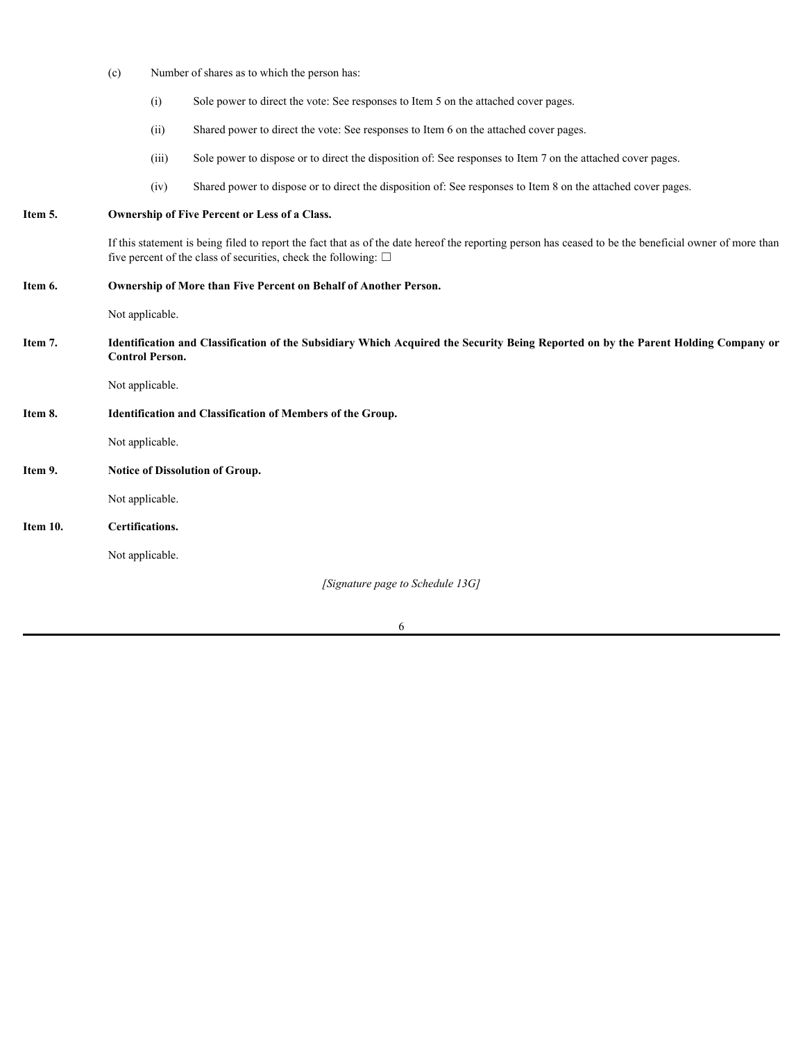|          | (c)                                                                                                                                                          | Number of shares as to which the person has: |                                                                                                                                                                                                                                |  |  |
|----------|--------------------------------------------------------------------------------------------------------------------------------------------------------------|----------------------------------------------|--------------------------------------------------------------------------------------------------------------------------------------------------------------------------------------------------------------------------------|--|--|
|          |                                                                                                                                                              | (i)                                          | Sole power to direct the vote: See responses to Item 5 on the attached cover pages.                                                                                                                                            |  |  |
|          |                                                                                                                                                              | (ii)                                         | Shared power to direct the vote: See responses to Item 6 on the attached cover pages.                                                                                                                                          |  |  |
|          |                                                                                                                                                              | (iii)                                        | Sole power to dispose or to direct the disposition of: See responses to Item 7 on the attached cover pages.                                                                                                                    |  |  |
|          |                                                                                                                                                              | (iv)                                         | Shared power to dispose or to direct the disposition of: See responses to Item 8 on the attached cover pages.                                                                                                                  |  |  |
| Item 5.  | Ownership of Five Percent or Less of a Class.                                                                                                                |                                              |                                                                                                                                                                                                                                |  |  |
|          |                                                                                                                                                              |                                              | If this statement is being filed to report the fact that as of the date hereof the reporting person has ceased to be the beneficial owner of more than<br>five percent of the class of securities, check the following: $\Box$ |  |  |
| Item 6.  | Ownership of More than Five Percent on Behalf of Another Person.                                                                                             |                                              |                                                                                                                                                                                                                                |  |  |
|          | Not applicable.                                                                                                                                              |                                              |                                                                                                                                                                                                                                |  |  |
| Item 7.  | Identification and Classification of the Subsidiary Which Acquired the Security Being Reported on by the Parent Holding Company or<br><b>Control Person.</b> |                                              |                                                                                                                                                                                                                                |  |  |
|          | Not applicable.                                                                                                                                              |                                              |                                                                                                                                                                                                                                |  |  |
| Item 8.  | Identification and Classification of Members of the Group.                                                                                                   |                                              |                                                                                                                                                                                                                                |  |  |
|          | Not applicable.                                                                                                                                              |                                              |                                                                                                                                                                                                                                |  |  |
| Item 9.  | Notice of Dissolution of Group.                                                                                                                              |                                              |                                                                                                                                                                                                                                |  |  |
|          | Not applicable.                                                                                                                                              |                                              |                                                                                                                                                                                                                                |  |  |
| Item 10. | Certifications.                                                                                                                                              |                                              |                                                                                                                                                                                                                                |  |  |
|          | Not applicable.                                                                                                                                              |                                              |                                                                                                                                                                                                                                |  |  |
|          |                                                                                                                                                              |                                              | [Signature page to Schedule 13G]                                                                                                                                                                                               |  |  |

6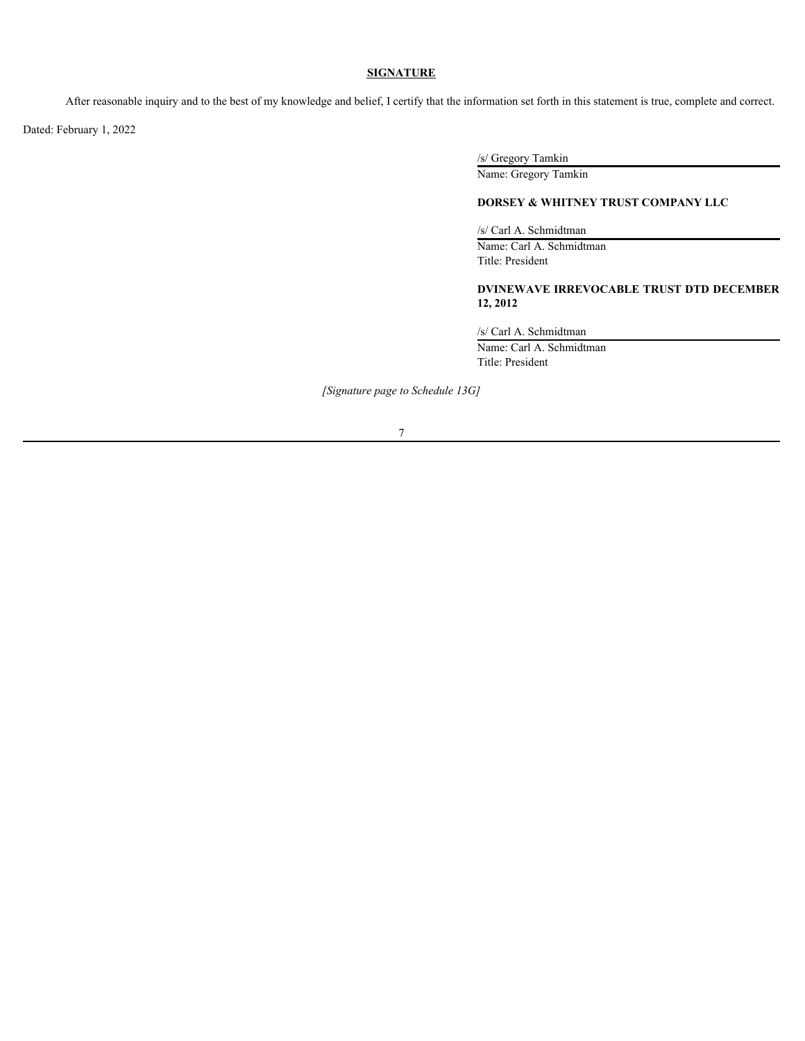## **SIGNATURE**

After reasonable inquiry and to the best of my knowledge and belief, I certify that the information set forth in this statement is true, complete and correct.

Dated: February 1, 2022

/s/ Gregory Tamkin

Name: Gregory Tamkin

# **DORSEY & WHITNEY TRUST COMPANY LLC**

/s/ Carl A. Schmidtman

Name: Carl A. Schmidtman Title: President

# **DVINEWAVE IRREVOCABLE TRUST DTD DECEMBER 12, 2012**

/s/ Carl A. Schmidtman

Name: Carl A. Schmidtman Title: President

*[Signature page to Schedule 13G]*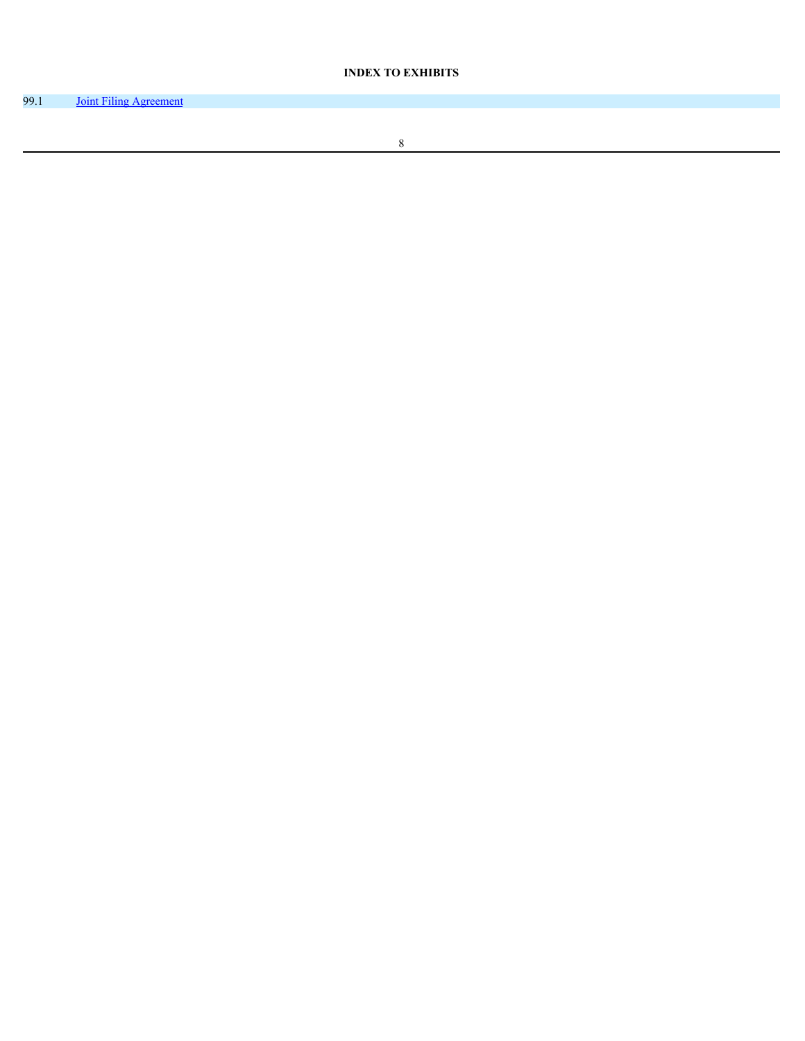# **INDEX TO EXHIBITS**